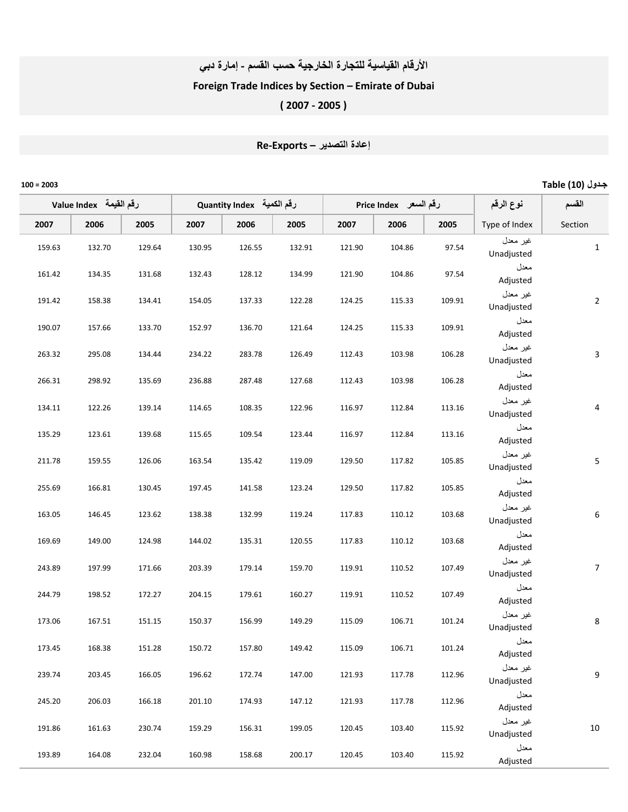## الأرقام القياسية للتجارة الخارجية حسب القسم - إمارة دبي Foreign Trade Indices by Section – Emirate of Dubai

( 2007 ‐ 2005 )

## إعادة التصدير – Re-Exports

| Table (10) جدول  |                        |                       |        |                           |        |        |                         |        |        | $100 = 2003$ |
|------------------|------------------------|-----------------------|--------|---------------------------|--------|--------|-------------------------|--------|--------|--------------|
| القسم            | نوع الرقم              | رقم السعر Price Index |        | Quantity Index رقم الكمية |        |        | لرقم القيمة Value Index |        |        |              |
| Section          | Type of Index          | 2005                  | 2006   | 2007                      | 2005   | 2006   | 2007                    | 2005   | 2006   | 2007         |
| $\mathbf{1}$     | غير معدل<br>Unadjusted | 97.54                 | 104.86 | 121.90                    | 132.91 | 126.55 | 130.95                  | 129.64 | 132.70 | 159.63       |
|                  | معدل<br>Adjusted       | 97.54                 | 104.86 | 121.90                    | 134.99 | 128.12 | 132.43                  | 131.68 | 134.35 | 161.42       |
| $\overline{2}$   | غير معدل<br>Unadjusted | 109.91                | 115.33 | 124.25                    | 122.28 | 137.33 | 154.05                  | 134.41 | 158.38 | 191.42       |
|                  | معدل<br>Adjusted       | 109.91                | 115.33 | 124.25                    | 121.64 | 136.70 | 152.97                  | 133.70 | 157.66 | 190.07       |
| 3                | غير معدل<br>Unadjusted | 106.28                | 103.98 | 112.43                    | 126.49 | 283.78 | 234.22                  | 134.44 | 295.08 | 263.32       |
|                  | معدل<br>Adjusted       | 106.28                | 103.98 | 112.43                    | 127.68 | 287.48 | 236.88                  | 135.69 | 298.92 | 266.31       |
| $\overline{4}$   | غير معدل<br>Unadjusted | 113.16                | 112.84 | 116.97                    | 122.96 | 108.35 | 114.65                  | 139.14 | 122.26 | 134.11       |
|                  | معدل<br>Adjusted       | 113.16                | 112.84 | 116.97                    | 123.44 | 109.54 | 115.65                  | 139.68 | 123.61 | 135.29       |
| $\mathsf S$      | غير معدل<br>Unadjusted | 105.85                | 117.82 | 129.50                    | 119.09 | 135.42 | 163.54                  | 126.06 | 159.55 | 211.78       |
|                  | معدل<br>Adjusted       | 105.85                | 117.82 | 129.50                    | 123.24 | 141.58 | 197.45                  | 130.45 | 166.81 | 255.69       |
| $\boldsymbol{6}$ | غير معدل<br>Unadjusted | 103.68                | 110.12 | 117.83                    | 119.24 | 132.99 | 138.38                  | 123.62 | 146.45 | 163.05       |
|                  | معدل<br>Adjusted       | 103.68                | 110.12 | 117.83                    | 120.55 | 135.31 | 144.02                  | 124.98 | 149.00 | 169.69       |
| $\overline{7}$   | غير معدل<br>Unadjusted | 107.49                | 110.52 | 119.91                    | 159.70 | 179.14 | 203.39                  | 171.66 | 197.99 | 243.89       |
|                  | معدل<br>Adjusted       | 107.49                | 110.52 | 119.91                    | 160.27 | 179.61 | 204.15                  | 172.27 | 198.52 | 244.79       |
| 8                | غير معدل<br>Unadjusted | 101.24                | 106.71 | 115.09                    | 149.29 | 156.99 | 150.37                  | 151.15 | 167.51 | 173.06       |
|                  | معدل<br>Adjusted       | 101.24                | 106.71 | 115.09                    | 149.42 | 157.80 | 150.72                  | 151.28 | 168.38 | 173.45       |
| 9                | غير معدل<br>Unadjusted | 112.96                | 117.78 | 121.93                    | 147.00 | 172.74 | 196.62                  | 166.05 | 203.45 | 239.74       |
|                  | معدل<br>Adjusted       | 112.96                | 117.78 | 121.93                    | 147.12 | 174.93 | 201.10                  | 166.18 | 206.03 | 245.20       |
| 10               | غير معدل<br>Unadjusted | 115.92                | 103.40 | 120.45                    | 199.05 | 156.31 | 159.29                  | 230.74 | 161.63 | 191.86       |
|                  | معدل<br>Adjusted       | 115.92                | 103.40 | 120.45                    | 200.17 | 158.68 | 160.98                  | 232.04 | 164.08 | 193.89       |